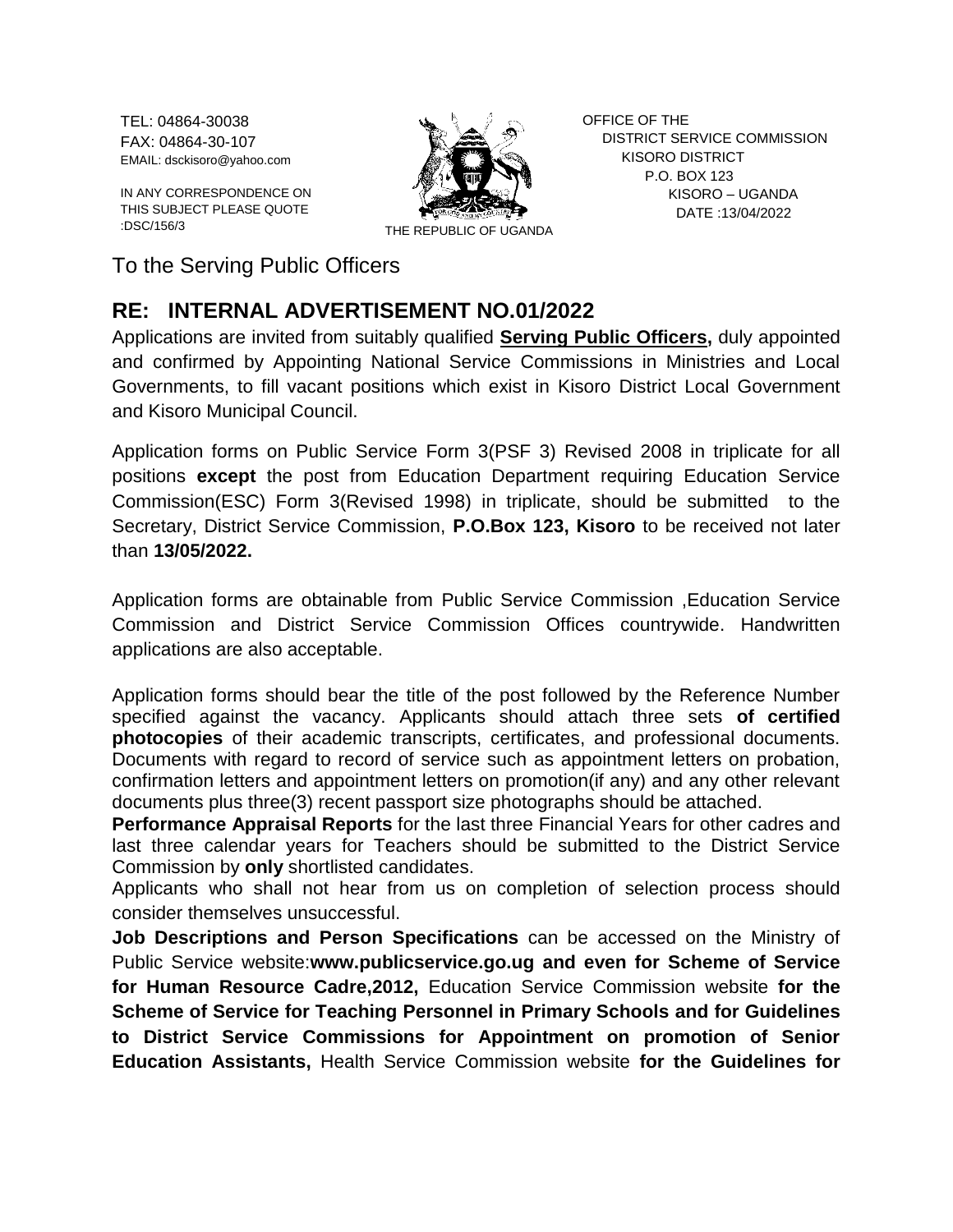TEL: 04864-30038 FAX: 04864-30-107 EMAIL: dsckisoro@yahoo.com

IN ANY CORRESPONDENCE ON THIS SUBJECT PLEASE QUOTE :DSC/156/3 THE REPUBLIC OF UGANDA



OFFICE OF THE DISTRICT SERVICE COMMISSION KISORO DISTRICT P.O. BOX 123 KISORO – UGANDA DATE :13/04/2022

To the Serving Public Officers

## **RE: INTERNAL ADVERTISEMENT NO.01/2022**

Applications are invited from suitably qualified **Serving Public Officers,** duly appointed and confirmed by Appointing National Service Commissions in Ministries and Local Governments, to fill vacant positions which exist in Kisoro District Local Government and Kisoro Municipal Council.

Application forms on Public Service Form 3(PSF 3) Revised 2008 in triplicate for all positions **except** the post from Education Department requiring Education Service Commission(ESC) Form 3(Revised 1998) in triplicate, should be submitted to the Secretary, District Service Commission, **P.O.Box 123, Kisoro** to be received not later than **13/05/2022.**

Application forms are obtainable from Public Service Commission ,Education Service Commission and District Service Commission Offices countrywide. Handwritten applications are also acceptable.

Application forms should bear the title of the post followed by the Reference Number specified against the vacancy. Applicants should attach three sets **of certified photocopies** of their academic transcripts, certificates, and professional documents. Documents with regard to record of service such as appointment letters on probation, confirmation letters and appointment letters on promotion(if any) and any other relevant documents plus three(3) recent passport size photographs should be attached.

**Performance Appraisal Reports** for the last three Financial Years for other cadres and last three calendar years for Teachers should be submitted to the District Service Commission by **only** shortlisted candidates.

Applicants who shall not hear from us on completion of selection process should consider themselves unsuccessful.

**Job Descriptions and Person Specifications** can be accessed on the Ministry of Public Service website:**www.publicservice.go.ug and even for Scheme of Service for Human Resource Cadre,2012,** Education Service Commission website **for the Scheme of Service for Teaching Personnel in Primary Schools and for Guidelines to District Service Commissions for Appointment on promotion of Senior Education Assistants,** Health Service Commission website **for the Guidelines for**